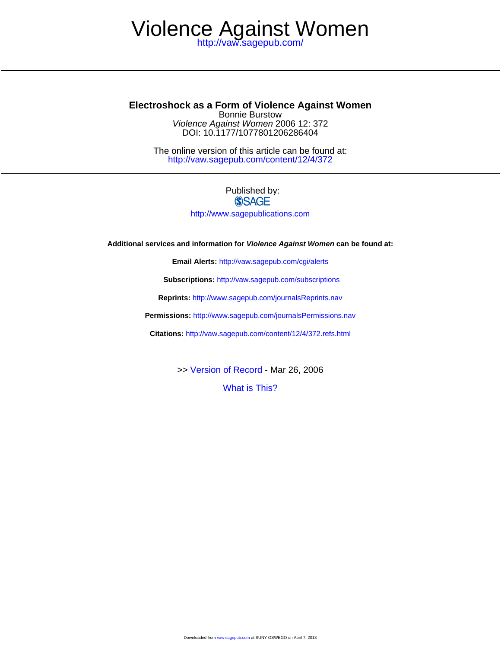<http://vaw.sagepub.com/>

DOI: 10.1177/1077801206286404 Violence Against Women 2006 12: 372 Bonnie Burstow **Electroshock as a Form of Violence Against Women**

<http://vaw.sagepub.com/content/12/4/372> The online version of this article can be found at:

# Published by: **SSAGE**

<http://www.sagepublications.com>

**Additional services and information for Violence Against Women can be found at:**

**Email Alerts:** <http://vaw.sagepub.com/cgi/alerts>

**Subscriptions:** <http://vaw.sagepub.com/subscriptions>

**Reprints:** <http://www.sagepub.com/journalsReprints.nav>

**Permissions:** <http://www.sagepub.com/journalsPermissions.nav>

**Citations:** <http://vaw.sagepub.com/content/12/4/372.refs.html>

>> [Version of Record -](http://vaw.sagepub.com/content/12/4/372.full.pdf) Mar 26, 2006

[What is This?](http://online.sagepub.com/site/sphelp/vorhelp.xhtml)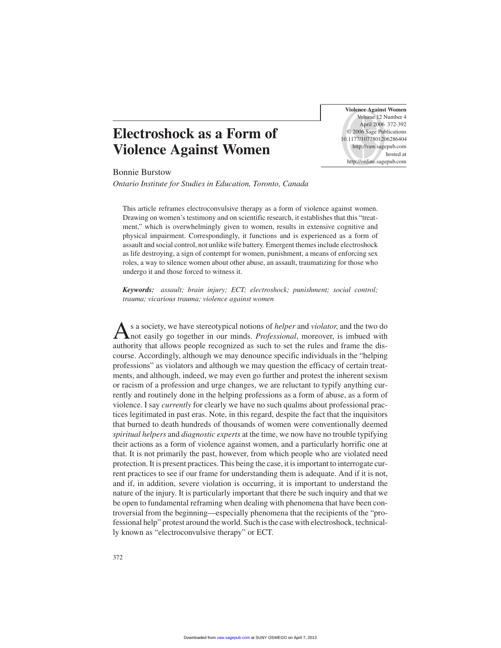**Violence Against Women** Volume 12 Number 4 April 2006 372-392 © 2006 Sage Publications 10.1177/1077801206286404 http://vaw.sagepub.com hosted at http://online.sagepub.com

# **Electroshock as a Form of Violence Against Women**

Bonnie Burstow

*Ontario Institute for Studies in Education, Toronto, Canada*

This article reframes electroconvulsive therapy as a form of violence against women. Drawing on women's testimony and on scientific research, it establishes that this "treatment," which is overwhelmingly given to women, results in extensive cognitive and physical impairment. Correspondingly, it functions and is experienced as a form of assault and social control, not unlike wife battery. Emergent themes include electroshock as life destroying, a sign of contempt for women, punishment, a means of enforcing sex roles, a way to silence women about other abuse, an assault, traumatizing for those who undergo it and those forced to witness it.

*Keywords: assault; brain injury; ECT; electroshock; punishment; social control; trauma; vicarious trauma; violence against women*

As a society, we have stereotypical notions of *helper* and *violator*, and the two do not easily go together in our minds. *Professional*, moreover, is imbued with authority that allows people recognized as such to set the rules and frame the discourse. Accordingly, although we may denounce specific individuals in the "helping professions" as violators and although we may question the efficacy of certain treatments, and although, indeed, we may even go further and protest the inherent sexism or racism of a profession and urge changes, we are reluctant to typify anything currently and routinely done in the helping professions as a form of abuse, as a form of violence. I say *currently* for clearly we have no such qualms about professional practices legitimated in past eras. Note, in this regard, despite the fact that the inquisitors that burned to death hundreds of thousands of women were conventionally deemed *spiritual helpers* and *diagnostic experts* at the time, we now have no trouble typifying their actions as a form of violence against women, and a particularly horrific one at that. It is not primarily the past, however, from which people who are violated need protection. It is present practices. This being the case, it is important to interrogate current practices to see if our frame for understanding them is adequate. And if it is not, and if, in addition, severe violation is occurring, it is important to understand the nature of the injury. It is particularly important that there be such inquiry and that we be open to fundamental reframing when dealing with phenomena that have been controversial from the beginning—especially phenomena that the recipients of the "professional help" protest around the world. Such is the case with electroshock, technically known as "electroconvulsive therapy" or ECT.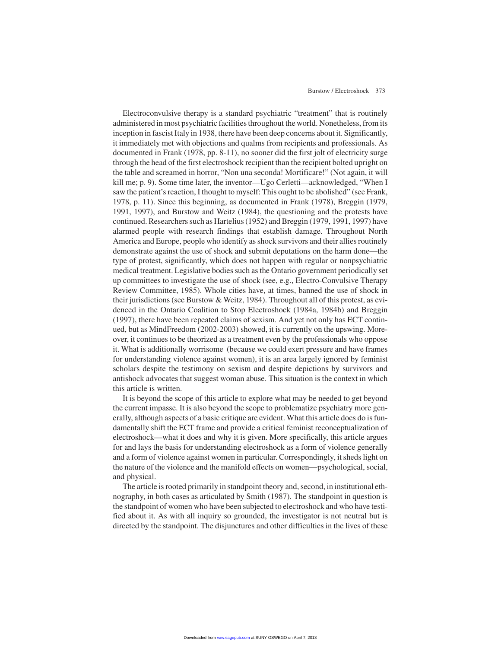#### Burstow / Electroshock 373

Electroconvulsive therapy is a standard psychiatric "treatment" that is routinely administered in most psychiatric facilities throughout the world. Nonetheless, from its inception in fascist Italy in 1938, there have been deep concerns about it. Significantly, it immediately met with objections and qualms from recipients and professionals. As documented in Frank (1978, pp. 8-11), no sooner did the first jolt of electricity surge through the head of the first electroshock recipient than the recipient bolted upright on the table and screamed in horror, "Non una seconda! Mortificare!" (Not again, it will kill me; p. 9). Some time later, the inventor—Ugo Cerletti—acknowledged, "When I saw the patient's reaction, I thought to myself: This ought to be abolished" (see Frank, 1978, p. 11). Since this beginning, as documented in Frank (1978), Breggin (1979, 1991, 1997), and Burstow and Weitz (1984), the questioning and the protests have continued. Researchers such as Hartelius (1952) and Breggin (1979, 1991, 1997) have alarmed people with research findings that establish damage. Throughout North America and Europe, people who identify as shock survivors and their allies routinely demonstrate against the use of shock and submit deputations on the harm done—the type of protest, significantly, which does not happen with regular or nonpsychiatric medical treatment. Legislative bodies such as the Ontario government periodically set up committees to investigate the use of shock (see, e.g., Electro-Convulsive Therapy Review Committee, 1985). Whole cities have, at times, banned the use of shock in their jurisdictions (see Burstow & Weitz, 1984). Throughout all of this protest, as evidenced in the Ontario Coalition to Stop Electroshock (1984a, 1984b) and Breggin (1997), there have been repeated claims of sexism. And yet not only has ECT continued, but as MindFreedom (2002-2003) showed, it is currently on the upswing. Moreover, it continues to be theorized as a treatment even by the professionals who oppose it. What is additionally worrisome (because we could exert pressure and have frames for understanding violence against women), it is an area largely ignored by feminist scholars despite the testimony on sexism and despite depictions by survivors and antishock advocates that suggest woman abuse. This situation is the context in which this article is written.

It is beyond the scope of this article to explore what may be needed to get beyond the current impasse. It is also beyond the scope to problematize psychiatry more generally, although aspects of a basic critique are evident. What this article does do is fundamentally shift the ECT frame and provide a critical feminist reconceptualization of electroshock—what it does and why it is given. More specifically, this article argues for and lays the basis for understanding electroshock as a form of violence generally and a form of violence against women in particular. Correspondingly, it sheds light on the nature of the violence and the manifold effects on women—psychological, social, and physical.

The article is rooted primarily in standpoint theory and, second, in institutional ethnography, in both cases as articulated by Smith (1987). The standpoint in question is the standpoint of women who have been subjected to electroshock and who have testified about it. As with all inquiry so grounded, the investigator is not neutral but is directed by the standpoint. The disjunctures and other difficulties in the lives of these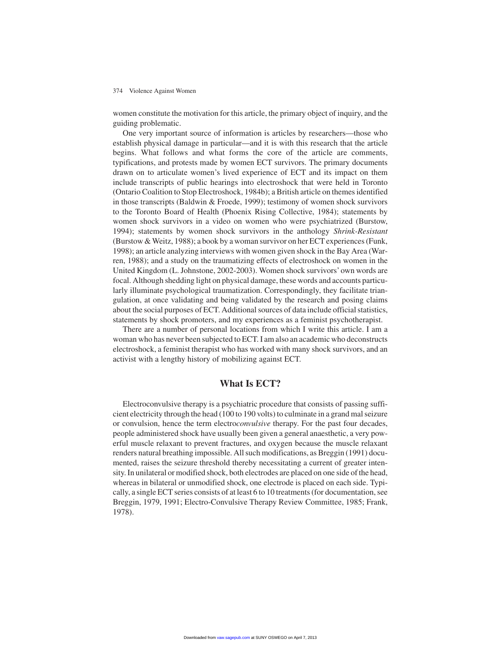women constitute the motivation for this article, the primary object of inquiry, and the guiding problematic.

One very important source of information is articles by researchers—those who establish physical damage in particular—and it is with this research that the article begins. What follows and what forms the core of the article are comments, typifications, and protests made by women ECT survivors. The primary documents drawn on to articulate women's lived experience of ECT and its impact on them include transcripts of public hearings into electroshock that were held in Toronto (Ontario Coalition to Stop Electroshock, 1984b); a British article on themes identified in those transcripts (Baldwin & Froede, 1999); testimony of women shock survivors to the Toronto Board of Health (Phoenix Rising Collective, 1984); statements by women shock survivors in a video on women who were psychiatrized (Burstow, 1994); statements by women shock survivors in the anthology *Shrink-Resistant* (Burstow & Weitz, 1988); a book by a woman survivor on her ECT experiences (Funk, 1998); an article analyzing interviews with women given shock in the Bay Area (Warren, 1988); and a study on the traumatizing effects of electroshock on women in the United Kingdom (L. Johnstone, 2002-2003). Women shock survivors'own words are focal. Although shedding light on physical damage, these words and accounts particularly illuminate psychological traumatization. Correspondingly, they facilitate triangulation, at once validating and being validated by the research and posing claims about the social purposes of ECT. Additional sources of data include official statistics, statements by shock promoters, and my experiences as a feminist psychotherapist.

There are a number of personal locations from which I write this article. I am a woman who has never been subjected to ECT. I am also an academic who deconstructs electroshock, a feminist therapist who has worked with many shock survivors, and an activist with a lengthy history of mobilizing against ECT.

# **What Is ECT?**

Electroconvulsive therapy is a psychiatric procedure that consists of passing sufficient electricity through the head (100 to 190 volts) to culminate in a grand mal seizure or convulsion, hence the term electro*convulsive* therapy. For the past four decades, people administered shock have usually been given a general anaesthetic, a very powerful muscle relaxant to prevent fractures, and oxygen because the muscle relaxant renders natural breathing impossible. All such modifications, as Breggin (1991) documented, raises the seizure threshold thereby necessitating a current of greater intensity. In unilateral or modified shock, both electrodes are placed on one side of the head, whereas in bilateral or unmodified shock, one electrode is placed on each side. Typically, a single ECT series consists of at least 6 to 10 treatments (for documentation, see Breggin, 1979, 1991; Electro-Convulsive Therapy Review Committee, 1985; Frank, 1978).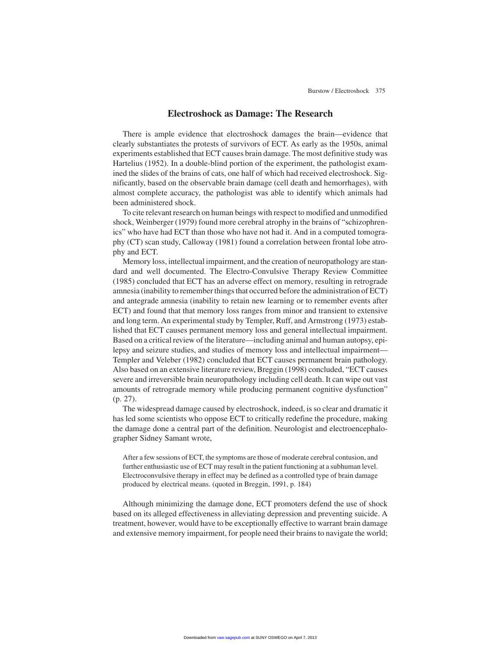# **Electroshock as Damage: The Research**

There is ample evidence that electroshock damages the brain—evidence that clearly substantiates the protests of survivors of ECT. As early as the 1950s, animal experiments established that ECT causes brain damage. The most definitive study was Hartelius (1952). In a double-blind portion of the experiment, the pathologist examined the slides of the brains of cats, one half of which had received electroshock. Significantly, based on the observable brain damage (cell death and hemorrhages), with almost complete accuracy, the pathologist was able to identify which animals had been administered shock.

To cite relevant research on human beings with respect to modified and unmodified shock, Weinberger (1979) found more cerebral atrophy in the brains of "schizophrenics" who have had ECT than those who have not had it. And in a computed tomography (CT) scan study, Calloway (1981) found a correlation between frontal lobe atrophy and ECT.

Memory loss, intellectual impairment, and the creation of neuropathology are standard and well documented. The Electro-Convulsive Therapy Review Committee (1985) concluded that ECT has an adverse effect on memory, resulting in retrograde amnesia (inability to remember things that occurred before the administration of ECT) and antegrade amnesia (inability to retain new learning or to remember events after ECT) and found that that memory loss ranges from minor and transient to extensive and long term. An experimental study by Templer, Ruff, and Armstrong (1973) established that ECT causes permanent memory loss and general intellectual impairment. Based on a critical review of the literature—including animal and human autopsy, epilepsy and seizure studies, and studies of memory loss and intellectual impairment— Templer and Veleber (1982) concluded that ECT causes permanent brain pathology. Also based on an extensive literature review, Breggin (1998) concluded, "ECT causes severe and irreversible brain neuropathology including cell death. It can wipe out vast amounts of retrograde memory while producing permanent cognitive dysfunction" (p. 27).

The widespread damage caused by electroshock, indeed, is so clear and dramatic it has led some scientists who oppose ECT to critically redefine the procedure, making the damage done a central part of the definition. Neurologist and electroencephalographer Sidney Samant wrote,

After a few sessions of ECT, the symptoms are those of moderate cerebral contusion, and further enthusiastic use of ECT may result in the patient functioning at a subhuman level. Electroconvulsive therapy in effect may be defined as a controlled type of brain damage produced by electrical means. (quoted in Breggin, 1991, p. 184)

Although minimizing the damage done, ECT promoters defend the use of shock based on its alleged effectiveness in alleviating depression and preventing suicide. A treatment, however, would have to be exceptionally effective to warrant brain damage and extensive memory impairment, for people need their brains to navigate the world;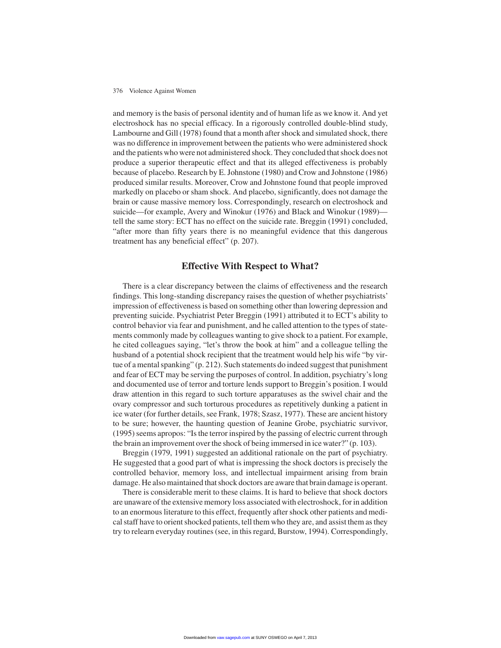and memory is the basis of personal identity and of human life as we know it. And yet electroshock has no special efficacy. In a rigorously controlled double-blind study, Lambourne and Gill (1978) found that a month after shock and simulated shock, there was no difference in improvement between the patients who were administered shock and the patients who were not administered shock. They concluded that shock does not produce a superior therapeutic effect and that its alleged effectiveness is probably because of placebo. Research by E. Johnstone (1980) and Crow and Johnstone (1986) produced similar results. Moreover, Crow and Johnstone found that people improved markedly on placebo or sham shock. And placebo, significantly, does not damage the brain or cause massive memory loss. Correspondingly, research on electroshock and suicide—for example, Avery and Winokur (1976) and Black and Winokur (1989) tell the same story: ECT has no effect on the suicide rate. Breggin (1991) concluded, "after more than fifty years there is no meaningful evidence that this dangerous treatment has any beneficial effect" (p. 207).

# **Effective With Respect to What?**

There is a clear discrepancy between the claims of effectiveness and the research findings. This long-standing discrepancy raises the question of whether psychiatrists' impression of effectiveness is based on something other than lowering depression and preventing suicide. Psychiatrist Peter Breggin (1991) attributed it to ECT's ability to control behavior via fear and punishment, and he called attention to the types of statements commonly made by colleagues wanting to give shock to a patient. For example, he cited colleagues saying, "let's throw the book at him" and a colleague telling the husband of a potential shock recipient that the treatment would help his wife "by virtue of a mental spanking" (p. 212). Such statements do indeed suggest that punishment and fear of ECT may be serving the purposes of control. In addition, psychiatry's long and documented use of terror and torture lends support to Breggin's position. I would draw attention in this regard to such torture apparatuses as the swivel chair and the ovary compressor and such torturous procedures as repetitively dunking a patient in ice water (for further details, see Frank, 1978; Szasz, 1977). These are ancient history to be sure; however, the haunting question of Jeanine Grobe, psychiatric survivor, (1995) seems apropos: "Is the terror inspired by the passing of electric current through the brain an improvement over the shock of being immersed in ice water?" (p. 103).

Breggin (1979, 1991) suggested an additional rationale on the part of psychiatry. He suggested that a good part of what is impressing the shock doctors is precisely the controlled behavior, memory loss, and intellectual impairment arising from brain damage. He also maintained that shock doctors are aware that brain damage is operant.

There is considerable merit to these claims. It is hard to believe that shock doctors are unaware of the extensive memory loss associated with electroshock, for in addition to an enormous literature to this effect, frequently after shock other patients and medical staff have to orient shocked patients, tell them who they are, and assist them as they try to relearn everyday routines (see, in this regard, Burstow, 1994). Correspondingly,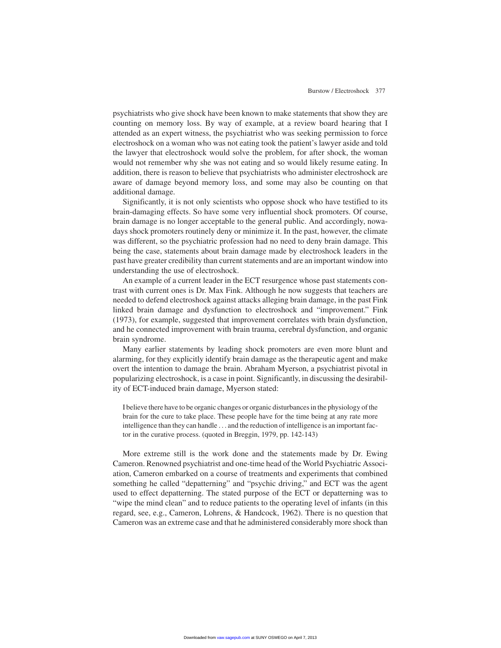psychiatrists who give shock have been known to make statements that show they are counting on memory loss. By way of example, at a review board hearing that I attended as an expert witness, the psychiatrist who was seeking permission to force electroshock on a woman who was not eating took the patient's lawyer aside and told the lawyer that electroshock would solve the problem, for after shock, the woman would not remember why she was not eating and so would likely resume eating. In addition, there is reason to believe that psychiatrists who administer electroshock are aware of damage beyond memory loss, and some may also be counting on that additional damage.

Significantly, it is not only scientists who oppose shock who have testified to its brain-damaging effects. So have some very influential shock promoters. Of course, brain damage is no longer acceptable to the general public. And accordingly, nowadays shock promoters routinely deny or minimize it. In the past, however, the climate was different, so the psychiatric profession had no need to deny brain damage. This being the case, statements about brain damage made by electroshock leaders in the past have greater credibility than current statements and are an important window into understanding the use of electroshock.

An example of a current leader in the ECT resurgence whose past statements contrast with current ones is Dr. Max Fink. Although he now suggests that teachers are needed to defend electroshock against attacks alleging brain damage, in the past Fink linked brain damage and dysfunction to electroshock and "improvement." Fink (1973), for example, suggested that improvement correlates with brain dysfunction, and he connected improvement with brain trauma, cerebral dysfunction, and organic brain syndrome.

Many earlier statements by leading shock promoters are even more blunt and alarming, for they explicitly identify brain damage as the therapeutic agent and make overt the intention to damage the brain. Abraham Myerson, a psychiatrist pivotal in popularizing electroshock, is a case in point. Significantly, in discussing the desirability of ECT-induced brain damage, Myerson stated:

I believe there have to be organic changes or organic disturbances in the physiology of the brain for the cure to take place. These people have for the time being at any rate more intelligence than they can handle . . . and the reduction of intelligence is an important factor in the curative process. (quoted in Breggin, 1979, pp. 142-143)

More extreme still is the work done and the statements made by Dr. Ewing Cameron. Renowned psychiatrist and one-time head of the World Psychiatric Association, Cameron embarked on a course of treatments and experiments that combined something he called "depatterning" and "psychic driving," and ECT was the agent used to effect depatterning. The stated purpose of the ECT or depatterning was to "wipe the mind clean" and to reduce patients to the operating level of infants (in this regard, see, e.g., Cameron, Lohrens, & Handcock, 1962). There is no question that Cameron was an extreme case and that he administered considerably more shock than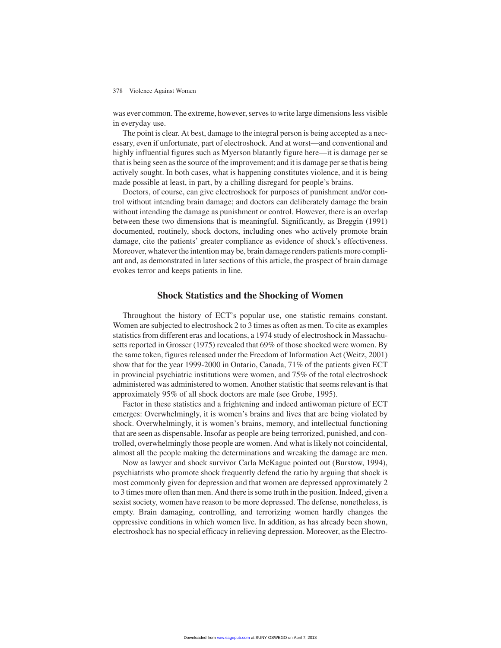was ever common. The extreme, however, serves to write large dimensions less visible in everyday use.

The point is clear. At best, damage to the integral person is being accepted as a necessary, even if unfortunate, part of electroshock. And at worst—and conventional and highly influential figures such as Myerson blatantly figure here—it is damage per se that is being seen as the source of the improvement; and it is damage per se that is being actively sought. In both cases, what is happening constitutes violence, and it is being made possible at least, in part, by a chilling disregard for people's brains.

Doctors, of course, can give electroshock for purposes of punishment and/or control without intending brain damage; and doctors can deliberately damage the brain without intending the damage as punishment or control. However, there is an overlap between these two dimensions that is meaningful. Significantly, as Breggin (1991) documented, routinely, shock doctors, including ones who actively promote brain damage, cite the patients' greater compliance as evidence of shock's effectiveness. Moreover, whatever the intention may be, brain damage renders patients more compliant and, as demonstrated in later sections of this article, the prospect of brain damage evokes terror and keeps patients in line.

## **Shock Statistics and the Shocking of Women**

Throughout the history of ECT's popular use, one statistic remains constant. Women are subjected to electroshock 2 to 3 times as often as men. To cite as examples statistics from different eras and locations, a 1974 study of electroshock in Massachusetts reported in Grosser (1975) revealed that 69% of those shocked were women. By the same token, figures released under the Freedom of Information Act (Weitz, 2001) show that for the year 1999-2000 in Ontario, Canada, 71% of the patients given ECT in provincial psychiatric institutions were women, and 75% of the total electroshock administered was administered to women. Another statistic that seems relevant is that approximately 95% of all shock doctors are male (see Grobe, 1995).

Factor in these statistics and a frightening and indeed antiwoman picture of ECT emerges: Overwhelmingly, it is women's brains and lives that are being violated by shock. Overwhelmingly, it is women's brains, memory, and intellectual functioning that are seen as dispensable. Insofar as people are being terrorized, punished, and controlled, overwhelmingly those people are women. And what is likely not coincidental, almost all the people making the determinations and wreaking the damage are men.

Now as lawyer and shock survivor Carla McKague pointed out (Burstow, 1994), psychiatrists who promote shock frequently defend the ratio by arguing that shock is most commonly given for depression and that women are depressed approximately 2 to 3 times more often than men. And there is some truth in the position. Indeed, given a sexist society, women have reason to be more depressed. The defense, nonetheless, is empty. Brain damaging, controlling, and terrorizing women hardly changes the oppressive conditions in which women live. In addition, as has already been shown, electroshock has no special efficacy in relieving depression. Moreover, as the Electro-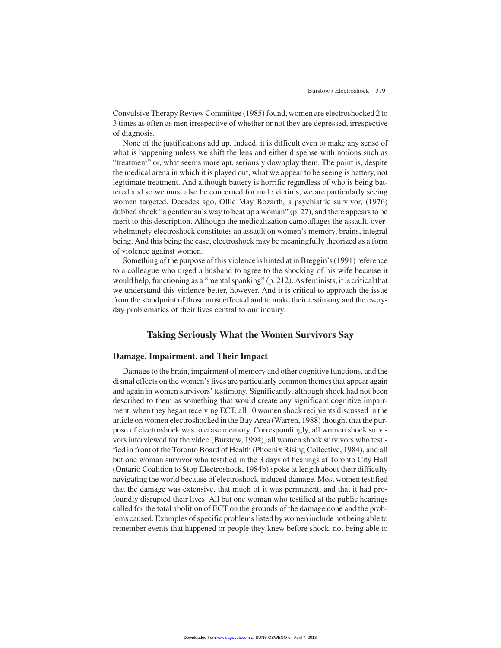Convulsive Therapy Review Committee (1985) found, women are electroshocked 2 to 3 times as often as men irrespective of whether or not they are depressed, irrespective of diagnosis.

None of the justifications add up. Indeed, it is difficult even to make any sense of what is happening unless we shift the lens and either dispense with notions such as "treatment" or, what seems more apt, seriously downplay them. The point is, despite the medical arena in which it is played out, what we appear to be seeing is battery, not legitimate treatment. And although battery is horrific regardless of who is being battered and so we must also be concerned for male victims, we are particularly seeing women targeted. Decades ago, Ollie May Bozarth, a psychiatric survivor, (1976) dubbed shock "a gentleman's way to beat up a woman" (p. 27), and there appears to be merit to this description. Although the medicalization camouflages the assault, overwhelmingly electroshock constitutes an assault on women's memory, brains, integral being. And this being the case, electroshock may be meaningfully theorized as a form of violence against women.

Something of the purpose of this violence is hinted at in Breggin's (1991) reference to a colleague who urged a husband to agree to the shocking of his wife because it would help, functioning as a "mental spanking" (p. 212). As feminists, it is critical that we understand this violence better, however. And it is critical to approach the issue from the standpoint of those most effected and to make their testimony and the everyday problematics of their lives central to our inquiry.

# **Taking Seriously What the Women Survivors Say**

#### **Damage, Impairment, and Their Impact**

Damage to the brain, impairment of memory and other cognitive functions, and the dismal effects on the women's lives are particularly common themes that appear again and again in women survivors' testimony. Significantly, although shock had not been described to them as something that would create any significant cognitive impairment, when they began receiving ECT, all 10 women shock recipients discussed in the article on women electroshocked in the Bay Area (Warren, 1988) thought that the purpose of electroshock was to erase memory. Correspondingly, all women shock survivors interviewed for the video (Burstow, 1994), all women shock survivors who testified in front of the Toronto Board of Health (Phoenix Rising Collective, 1984), and all but one woman survivor who testified in the 3 days of hearings at Toronto City Hall (Ontario Coalition to Stop Electroshock, 1984b) spoke at length about their difficulty navigating the world because of electroshock-induced damage. Most women testified that the damage was extensive, that much of it was permanent, and that it had profoundly disrupted their lives. All but one woman who testified at the public hearings called for the total abolition of ECT on the grounds of the damage done and the problems caused. Examples of specific problems listed by women include not being able to remember events that happened or people they knew before shock, not being able to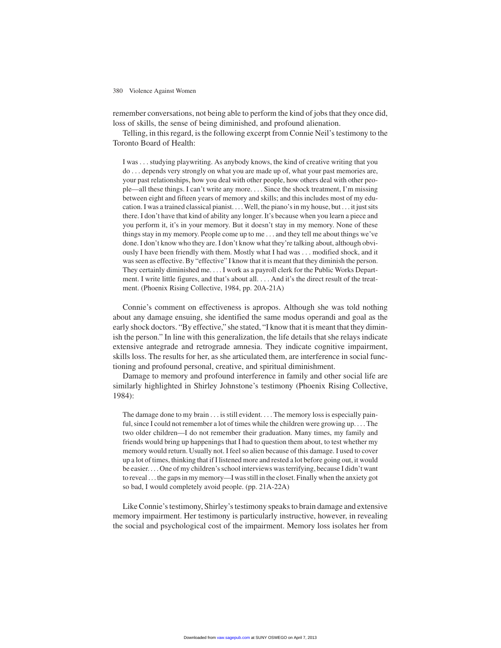remember conversations, not being able to perform the kind of jobs that they once did, loss of skills, the sense of being diminished, and profound alienation.

Telling, in this regard, is the following excerpt from Connie Neil's testimony to the Toronto Board of Health:

I was . . . studying playwriting. As anybody knows, the kind of creative writing that you do . . . depends very strongly on what you are made up of, what your past memories are, your past relationships, how you deal with other people, how others deal with other people—all these things. I can't write any more. . . . Since the shock treatment, I'm missing between eight and fifteen years of memory and skills; and this includes most of my education. I was a trained classical pianist. ...Well, the piano's in my house, but . . . it just sits there. I don't have that kind of ability any longer. It's because when you learn a piece and you perform it, it's in your memory. But it doesn't stay in my memory. None of these things stay in my memory. People come up to me . . . and they tell me about things we've done. I don't know who they are. I don't know what they're talking about, although obviously I have been friendly with them. Mostly what I had was . . . modified shock, and it was seen as effective. By "effective" I know that it is meant that they diminish the person. They certainly diminished me. . . . I work as a payroll clerk for the Public Works Department. I write little figures, and that's about all. . . . And it's the direct result of the treatment. (Phoenix Rising Collective, 1984, pp. 20A-21A)

Connie's comment on effectiveness is apropos. Although she was told nothing about any damage ensuing, she identified the same modus operandi and goal as the early shock doctors. "By effective," she stated, "I know that it is meant that they diminish the person." In line with this generalization, the life details that she relays indicate extensive antegrade and retrograde amnesia. They indicate cognitive impairment, skills loss. The results for her, as she articulated them, are interference in social functioning and profound personal, creative, and spiritual diminishment.

Damage to memory and profound interference in family and other social life are similarly highlighted in Shirley Johnstone's testimony (Phoenix Rising Collective, 1984):

The damage done to my brain . . . is still evident. . . . The memory loss is especially painful, since I could not remember a lot of times while the children were growing up. . . . The two older children—I do not remember their graduation. Many times, my family and friends would bring up happenings that I had to question them about, to test whether my memory would return. Usually not. I feel so alien because of this damage. I used to cover up a lot of times, thinking that if I listened more and rested a lot before going out, it would be easier. . . . One of my children's school interviews was terrifying, because I didn't want to reveal . . . the gaps in my memory—I was still in the closet. Finally when the anxiety got so bad, I would completely avoid people. (pp. 21A-22A)

Like Connie's testimony, Shirley's testimony speaks to brain damage and extensive memory impairment. Her testimony is particularly instructive, however, in revealing the social and psychological cost of the impairment. Memory loss isolates her from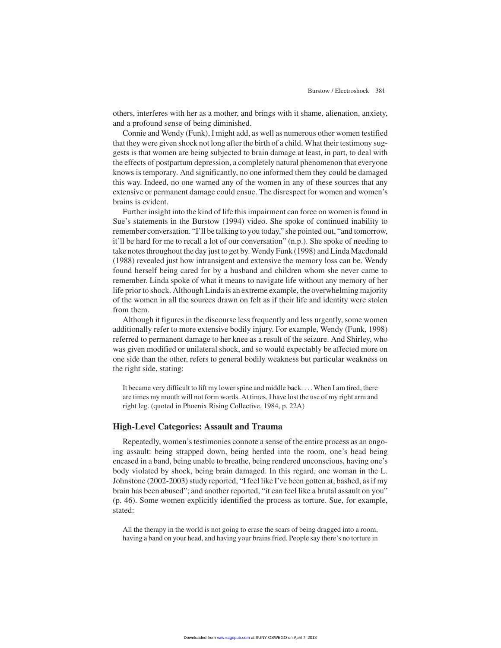others, interferes with her as a mother, and brings with it shame, alienation, anxiety, and a profound sense of being diminished.

Connie and Wendy (Funk), I might add, as well as numerous other women testified that they were given shock not long after the birth of a child. What their testimony suggests is that women are being subjected to brain damage at least, in part, to deal with the effects of postpartum depression, a completely natural phenomenon that everyone knows is temporary. And significantly, no one informed them they could be damaged this way. Indeed, no one warned any of the women in any of these sources that any extensive or permanent damage could ensue. The disrespect for women and women's brains is evident.

Further insight into the kind of life this impairment can force on women is found in Sue's statements in the Burstow (1994) video. She spoke of continued inability to remember conversation. "I'll be talking to you today," she pointed out, "and tomorrow, it'll be hard for me to recall a lot of our conversation" (n.p.). She spoke of needing to take notes throughout the day just to get by. Wendy Funk (1998) and Linda Macdonald (1988) revealed just how intransigent and extensive the memory loss can be. Wendy found herself being cared for by a husband and children whom she never came to remember. Linda spoke of what it means to navigate life without any memory of her life prior to shock. Although Linda is an extreme example, the overwhelming majority of the women in all the sources drawn on felt as if their life and identity were stolen from them.

Although it figures in the discourse less frequently and less urgently, some women additionally refer to more extensive bodily injury. For example, Wendy (Funk, 1998) referred to permanent damage to her knee as a result of the seizure. And Shirley, who was given modified or unilateral shock, and so would expectably be affected more on one side than the other, refers to general bodily weakness but particular weakness on the right side, stating:

It became very difficult to lift my lower spine and middle back. . . . When I am tired, there are times my mouth will not form words. At times, I have lost the use of my right arm and right leg. (quoted in Phoenix Rising Collective, 1984, p. 22A)

### **High-Level Categories: Assault and Trauma**

Repeatedly, women's testimonies connote a sense of the entire process as an ongoing assault: being strapped down, being herded into the room, one's head being encased in a band, being unable to breathe, being rendered unconscious, having one's body violated by shock, being brain damaged. In this regard, one woman in the L. Johnstone (2002-2003) study reported, "I feel like I've been gotten at, bashed, as if my brain has been abused"; and another reported, "it can feel like a brutal assault on you" (p. 46). Some women explicitly identified the process as torture. Sue, for example, stated:

All the therapy in the world is not going to erase the scars of being dragged into a room, having a band on your head, and having your brains fried. People say there's no torture in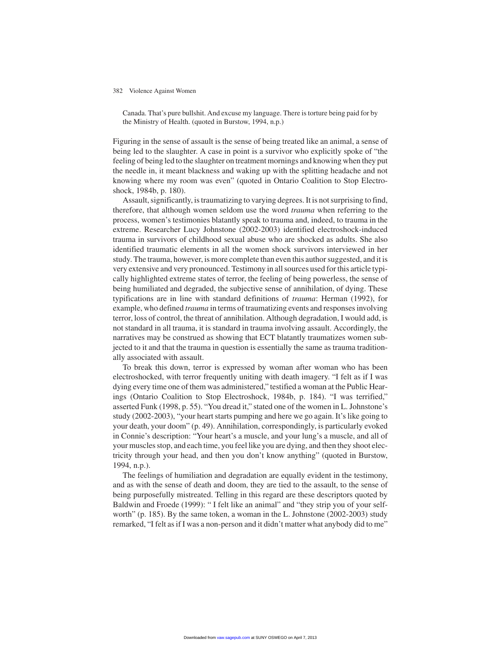Canada. That's pure bullshit. And excuse my language. There is torture being paid for by the Ministry of Health. (quoted in Burstow, 1994, n.p.)

Figuring in the sense of assault is the sense of being treated like an animal, a sense of being led to the slaughter. A case in point is a survivor who explicitly spoke of "the feeling of being led to the slaughter on treatment mornings and knowing when they put the needle in, it meant blackness and waking up with the splitting headache and not knowing where my room was even" (quoted in Ontario Coalition to Stop Electroshock, 1984b, p. 180).

Assault, significantly, is traumatizing to varying degrees. It is not surprising to find, therefore, that although women seldom use the word *trauma* when referring to the process, women's testimonies blatantly speak to trauma and, indeed, to trauma in the extreme. Researcher Lucy Johnstone (2002-2003) identified electroshock-induced trauma in survivors of childhood sexual abuse who are shocked as adults. She also identified traumatic elements in all the women shock survivors interviewed in her study. The trauma, however, is more complete than even this author suggested, and it is very extensive and very pronounced. Testimony in all sources used for this article typically highlighted extreme states of terror, the feeling of being powerless, the sense of being humiliated and degraded, the subjective sense of annihilation, of dying. These typifications are in line with standard definitions of *trauma*: Herman (1992), for example, who defined *trauma* in terms of traumatizing events and responses involving terror, loss of control, the threat of annihilation. Although degradation, I would add, is not standard in all trauma, it is standard in trauma involving assault. Accordingly, the narratives may be construed as showing that ECT blatantly traumatizes women subjected to it and that the trauma in question is essentially the same as trauma traditionally associated with assault.

To break this down, terror is expressed by woman after woman who has been electroshocked, with terror frequently uniting with death imagery. "I felt as if I was dying every time one of them was administered," testified a woman at the Public Hearings (Ontario Coalition to Stop Electroshock, 1984b, p. 184). "I was terrified," asserted Funk (1998, p. 55). "You dread it," stated one of the women in L. Johnstone's study (2002-2003), "your heart starts pumping and here we go again. It's like going to your death, your doom" (p. 49). Annihilation, correspondingly, is particularly evoked in Connie's description: "Your heart's a muscle, and your lung's a muscle, and all of your muscles stop, and each time, you feel like you are dying, and then they shoot electricity through your head, and then you don't know anything" (quoted in Burstow, 1994, n.p.).

The feelings of humiliation and degradation are equally evident in the testimony, and as with the sense of death and doom, they are tied to the assault, to the sense of being purposefully mistreated. Telling in this regard are these descriptors quoted by Baldwin and Froede (1999): " I felt like an animal" and "they strip you of your selfworth" (p. 185). By the same token, a woman in the L. Johnstone (2002-2003) study remarked, "I felt as if I was a non-person and it didn't matter what anybody did to me"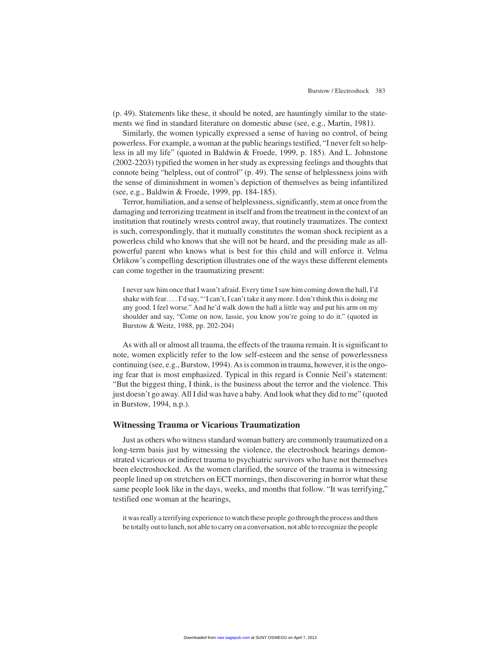(p. 49). Statements like these, it should be noted, are hauntingly similar to the statements we find in standard literature on domestic abuse (see, e.g., Martin, 1981).

Similarly, the women typically expressed a sense of having no control, of being powerless. For example, a woman at the public hearings testified, "I never felt so helpless in all my life" (quoted in Baldwin & Froede, 1999, p. 185). And L. Johnstone (2002-2203) typified the women in her study as expressing feelings and thoughts that connote being "helpless, out of control" (p. 49). The sense of helplessness joins with the sense of diminishment in women's depiction of themselves as being infantilized (see, e.g., Baldwin & Froede, 1999, pp. 184-185).

Terror, humiliation, and a sense of helplessness, significantly, stem at once from the damaging and terrorizing treatment in itself and from the treatment in the context of an institution that routinely wrests control away, that routinely traumatizes. The context is such, correspondingly, that it mutually constitutes the woman shock recipient as a powerless child who knows that she will not be heard, and the presiding male as allpowerful parent who knows what is best for this child and will enforce it. Velma Orlikow's compelling description illustrates one of the ways these different elements can come together in the traumatizing present:

I never saw him once that I wasn't afraid. Every time I saw him coming down the hall, I'd shake with fear. . . . I'd say, "'I can't, I can't take it any more. I don't think this is doing me any good. I feel worse." And he'd walk down the hall a little way and put his arm on my shoulder and say, "Come on now, lassie, you know you're going to do it." (quoted in Burstow & Weitz, 1988, pp. 202-204)

As with all or almost all trauma, the effects of the trauma remain. It is significant to note, women explicitly refer to the low self-esteem and the sense of powerlessness continuing (see, e.g., Burstow, 1994). As is common in trauma, however, it is the ongoing fear that is most emphasized. Typical in this regard is Connie Neil's statement: "But the biggest thing, I think, is the business about the terror and the violence. This just doesn't go away. All I did was have a baby. And look what they did to me" (quoted in Burstow, 1994, n.p.).

#### **Witnessing Trauma or Vicarious Traumatization**

Just as others who witness standard woman battery are commonly traumatized on a long-term basis just by witnessing the violence, the electroshock hearings demonstrated vicarious or indirect trauma to psychiatric survivors who have not themselves been electroshocked. As the women clarified, the source of the trauma is witnessing people lined up on stretchers on ECT mornings, then discovering in horror what these same people look like in the days, weeks, and months that follow. "It was terrifying," testified one woman at the hearings,

it was really a terrifying experience to watch these people go through the process and then be totally out to lunch, not able to carry on a conversation, not able to recognize the people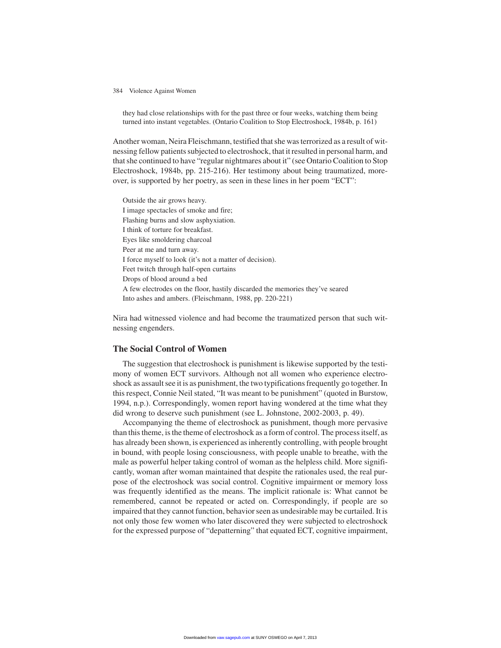they had close relationships with for the past three or four weeks, watching them being turned into instant vegetables. (Ontario Coalition to Stop Electroshock, 1984b, p. 161)

Another woman, Neira Fleischmann, testified that she was terrorized as a result of witnessing fellow patients subjected to electroshock, that it resulted in personal harm, and that she continued to have "regular nightmares about it" (see Ontario Coalition to Stop Electroshock, 1984b, pp. 215-216). Her testimony about being traumatized, moreover, is supported by her poetry, as seen in these lines in her poem "ECT":

Outside the air grows heavy. I image spectacles of smoke and fire; Flashing burns and slow asphyxiation. I think of torture for breakfast. Eyes like smoldering charcoal Peer at me and turn away. I force myself to look (it's not a matter of decision). Feet twitch through half-open curtains Drops of blood around a bed A few electrodes on the floor, hastily discarded the memories they've seared Into ashes and ambers. (Fleischmann, 1988, pp. 220-221)

Nira had witnessed violence and had become the traumatized person that such witnessing engenders.

#### **The Social Control of Women**

The suggestion that electroshock is punishment is likewise supported by the testimony of women ECT survivors. Although not all women who experience electroshock as assault see it is as punishment, the two typifications frequently go together. In this respect, Connie Neil stated, "It was meant to be punishment" (quoted in Burstow, 1994, n.p.). Correspondingly, women report having wondered at the time what they did wrong to deserve such punishment (see L. Johnstone, 2002-2003, p. 49).

Accompanying the theme of electroshock as punishment, though more pervasive than this theme, is the theme of electroshock as a form of control. The process itself, as has already been shown, is experienced as inherently controlling, with people brought in bound, with people losing consciousness, with people unable to breathe, with the male as powerful helper taking control of woman as the helpless child. More significantly, woman after woman maintained that despite the rationales used, the real purpose of the electroshock was social control. Cognitive impairment or memory loss was frequently identified as the means. The implicit rationale is: What cannot be remembered, cannot be repeated or acted on. Correspondingly, if people are so impaired that they cannot function, behavior seen as undesirable may be curtailed. It is not only those few women who later discovered they were subjected to electroshock for the expressed purpose of "depatterning" that equated ECT, cognitive impairment,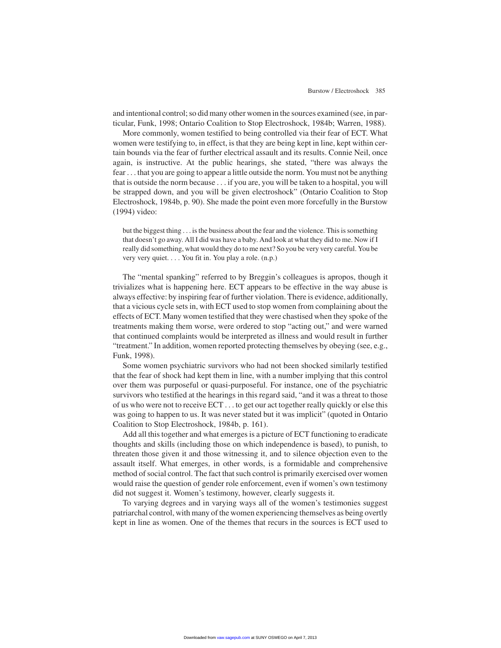and intentional control; so did many other women in the sources examined (see, in particular, Funk, 1998; Ontario Coalition to Stop Electroshock, 1984b; Warren, 1988).

More commonly, women testified to being controlled via their fear of ECT. What women were testifying to, in effect, is that they are being kept in line, kept within certain bounds via the fear of further electrical assault and its results. Connie Neil, once again, is instructive. At the public hearings, she stated, "there was always the fear . . . that you are going to appear a little outside the norm. You must not be anything that is outside the norm because . . . if you are, you will be taken to a hospital, you will be strapped down, and you will be given electroshock" (Ontario Coalition to Stop Electroshock, 1984b, p. 90). She made the point even more forcefully in the Burstow (1994) video:

but the biggest thing . . . is the business about the fear and the violence. This is something that doesn't go away. All I did was have a baby. And look at what they did to me. Now if I really did something, what would they do to me next? So you be very very careful. You be very very quiet. . . . You fit in. You play a role. (n.p.)

The "mental spanking" referred to by Breggin's colleagues is apropos, though it trivializes what is happening here. ECT appears to be effective in the way abuse is always effective: by inspiring fear of further violation. There is evidence, additionally, that a vicious cycle sets in, with ECT used to stop women from complaining about the effects of ECT. Many women testified that they were chastised when they spoke of the treatments making them worse, were ordered to stop "acting out," and were warned that continued complaints would be interpreted as illness and would result in further "treatment." In addition, women reported protecting themselves by obeying (see, e.g., Funk, 1998).

Some women psychiatric survivors who had not been shocked similarly testified that the fear of shock had kept them in line, with a number implying that this control over them was purposeful or quasi-purposeful. For instance, one of the psychiatric survivors who testified at the hearings in this regard said, "and it was a threat to those of us who were not to receive ECT . . . to get our act together really quickly or else this was going to happen to us. It was never stated but it was implicit" (quoted in Ontario Coalition to Stop Electroshock, 1984b, p. 161).

Add all this together and what emerges is a picture of ECT functioning to eradicate thoughts and skills (including those on which independence is based), to punish, to threaten those given it and those witnessing it, and to silence objection even to the assault itself. What emerges, in other words, is a formidable and comprehensive method of social control. The fact that such control is primarily exercised over women would raise the question of gender role enforcement, even if women's own testimony did not suggest it. Women's testimony, however, clearly suggests it.

To varying degrees and in varying ways all of the women's testimonies suggest patriarchal control, with many of the women experiencing themselves as being overtly kept in line as women. One of the themes that recurs in the sources is ECT used to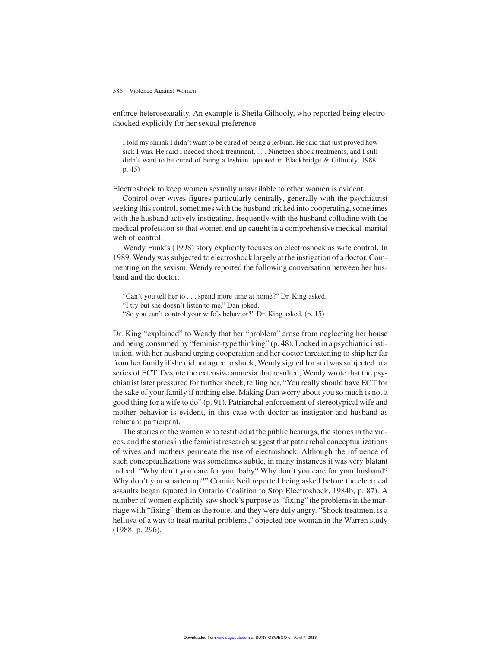enforce heterosexuality. An example is Sheila Gilhooly, who reported being electroshocked explicitly for her sexual preference:

I told my shrink I didn't want to be cured of being a lesbian. He said that just proved how sick I was. He said I needed shock treatment. . . . Nineteen shock treatments, and I still didn't want to be cured of being a lesbian. (quoted in Blackbridge & Gilhooly, 1988, p. 45)

Electroshock to keep women sexually unavailable to other women is evident.

Control over wives figures particularly centrally, generally with the psychiatrist seeking this control, sometimes with the husband tricked into cooperating, sometimes with the husband actively instigating, frequently with the husband colluding with the medical profession so that women end up caught in a comprehensive medical-marital web of control.

Wendy Funk's (1998) story explicitly focuses on electroshock as wife control. In 1989, Wendy was subjected to electroshock largely at the instigation of a doctor. Commenting on the sexism, Wendy reported the following conversation between her husband and the doctor:

"Can't you tell her to . . . spend more time at home?" Dr. King asked.

"So you can't control your wife's behavior?" Dr. King asked. (p. 15)

Dr. King "explained" to Wendy that her "problem" arose from neglecting her house and being consumed by "feminist-type thinking" (p. 48). Locked in a psychiatric institution, with her husband urging cooperation and her doctor threatening to ship her far from her family if she did not agree to shock, Wendy signed for and was subjected to a series of ECT. Despite the extensive amnesia that resulted, Wendy wrote that the psychiatrist later pressured for further shock, telling her, "You really should have ECT for the sake of your family if nothing else. Making Dan worry about you so much is not a good thing for a wife to do" (p. 91). Patriarchal enforcement of stereotypical wife and mother behavior is evident, in this case with doctor as instigator and husband as reluctant participant.

The stories of the women who testified at the public hearings, the stories in the videos, and the stories in the feminist research suggest that patriarchal conceptualizations of wives and mothers permeate the use of electroshock. Although the influence of such conceptualizations was sometimes subtle, in many instances it was very blatant indeed. "Why don't you care for your baby? Why don't you care for your husband? Why don't you smarten up?" Connie Neil reported being asked before the electrical assaults began (quoted in Ontario Coalition to Stop Electroshock, 1984b, p. 87). A number of women explicitly saw shock's purpose as "fixing" the problems in the marriage with "fixing" them as the route, and they were duly angry. "Shock treatment is a helluva of a way to treat marital problems," objected one woman in the Warren study (1988, p. 296).

<sup>&</sup>quot;I try but she doesn't listen to me," Dan joked.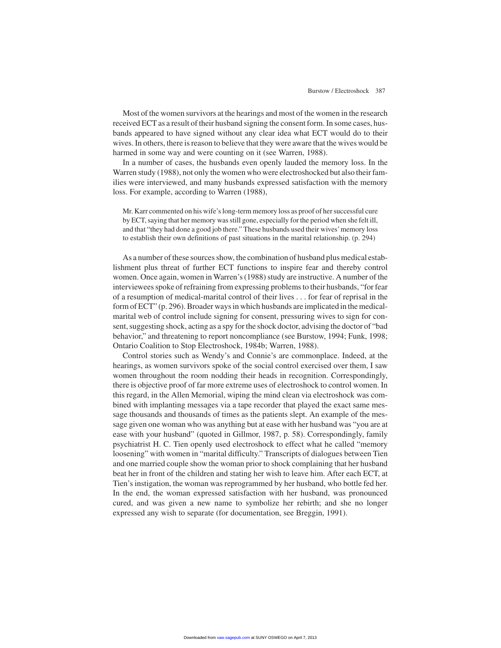Most of the women survivors at the hearings and most of the women in the research received ECT as a result of their husband signing the consent form. In some cases, husbands appeared to have signed without any clear idea what ECT would do to their wives. In others, there is reason to believe that they were aware that the wives would be harmed in some way and were counting on it (see Warren, 1988).

In a number of cases, the husbands even openly lauded the memory loss. In the Warren study (1988), not only the women who were electroshocked but also their families were interviewed, and many husbands expressed satisfaction with the memory loss. For example, according to Warren (1988),

Mr. Karr commented on his wife's long-term memory loss as proof of her successful cure by ECT, saying that her memory was still gone, especially for the period when she felt ill, and that "they had done a good job there." These husbands used their wives'memory loss to establish their own definitions of past situations in the marital relationship. (p. 294)

As a number of these sources show, the combination of husband plus medical establishment plus threat of further ECT functions to inspire fear and thereby control women. Once again, women in Warren's (1988) study are instructive. A number of the interviewees spoke of refraining from expressing problems to their husbands, "for fear of a resumption of medical-marital control of their lives . . . for fear of reprisal in the form of ECT" (p. 296). Broader ways in which husbands are implicated in the medicalmarital web of control include signing for consent, pressuring wives to sign for consent, suggesting shock, acting as a spy for the shock doctor, advising the doctor of "bad behavior," and threatening to report noncompliance (see Burstow, 1994; Funk, 1998; Ontario Coalition to Stop Electroshock, 1984b; Warren, 1988).

Control stories such as Wendy's and Connie's are commonplace. Indeed, at the hearings, as women survivors spoke of the social control exercised over them, I saw women throughout the room nodding their heads in recognition. Correspondingly, there is objective proof of far more extreme uses of electroshock to control women. In this regard, in the Allen Memorial, wiping the mind clean via electroshock was combined with implanting messages via a tape recorder that played the exact same message thousands and thousands of times as the patients slept. An example of the message given one woman who was anything but at ease with her husband was "you are at ease with your husband" (quoted in Gillmor, 1987, p. 58). Correspondingly, family psychiatrist H. C. Tien openly used electroshock to effect what he called "memory loosening" with women in "marital difficulty." Transcripts of dialogues between Tien and one married couple show the woman prior to shock complaining that her husband beat her in front of the children and stating her wish to leave him. After each ECT, at Tien's instigation, the woman was reprogrammed by her husband, who bottle fed her. In the end, the woman expressed satisfaction with her husband, was pronounced cured, and was given a new name to symbolize her rebirth; and she no longer expressed any wish to separate (for documentation, see Breggin, 1991).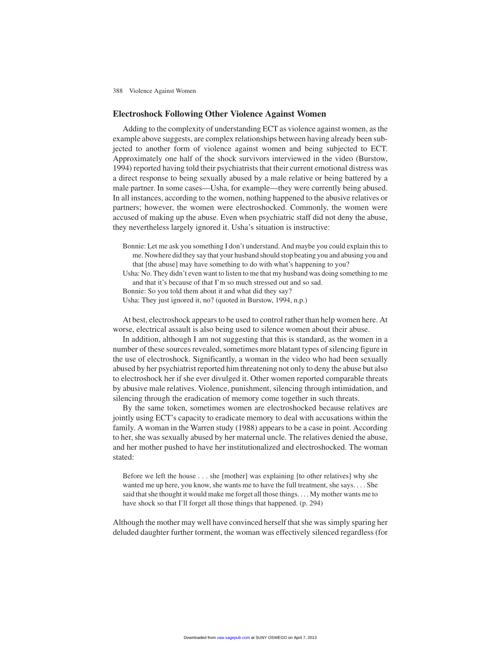#### **Electroshock Following Other Violence Against Women**

Adding to the complexity of understanding ECT as violence against women, as the example above suggests, are complex relationships between having already been subjected to another form of violence against women and being subjected to ECT. Approximately one half of the shock survivors interviewed in the video (Burstow, 1994) reported having told their psychiatrists that their current emotional distress was a direct response to being sexually abused by a male relative or being battered by a male partner. In some cases—Usha, for example—they were currently being abused. In all instances, according to the women, nothing happened to the abusive relatives or partners; however, the women were electroshocked. Commonly, the women were accused of making up the abuse. Even when psychiatric staff did not deny the abuse, they nevertheless largely ignored it. Usha's situation is instructive:

Bonnie: Let me ask you something I don't understand. And maybe you could explain this to me. Nowhere did they say that your husband should stop beating you and abusing you and that [the abuse] may have something to do with what's happening to you?

Usha: No. They didn't even want to listen to me that my husband was doing something to me and that it's because of that I'm so much stressed out and so sad.

Bonnie: So you told them about it and what did they say?

Usha: They just ignored it, no? (quoted in Burstow, 1994, n.p.)

At best, electroshock appears to be used to control rather than help women here. At worse, electrical assault is also being used to silence women about their abuse.

In addition, although I am not suggesting that this is standard, as the women in a number of these sources revealed, sometimes more blatant types of silencing figure in the use of electroshock. Significantly, a woman in the video who had been sexually abused by her psychiatrist reported him threatening not only to deny the abuse but also to electroshock her if she ever divulged it. Other women reported comparable threats by abusive male relatives. Violence, punishment, silencing through intimidation, and silencing through the eradication of memory come together in such threats.

By the same token, sometimes women are electroshocked because relatives are jointly using ECT's capacity to eradicate memory to deal with accusations within the family. A woman in the Warren study (1988) appears to be a case in point. According to her, she was sexually abused by her maternal uncle. The relatives denied the abuse, and her mother pushed to have her institutionalized and electroshocked. The woman stated:

Before we left the house . . . she [mother] was explaining [to other relatives] why she wanted me up here, you know, she wants me to have the full treatment, she says. . . . She said that she thought it would make me forget all those things. . . . My mother wants me to have shock so that I'll forget all those things that happened. (p. 294)

Although the mother may well have convinced herself that she was simply sparing her deluded daughter further torment, the woman was effectively silenced regardless (for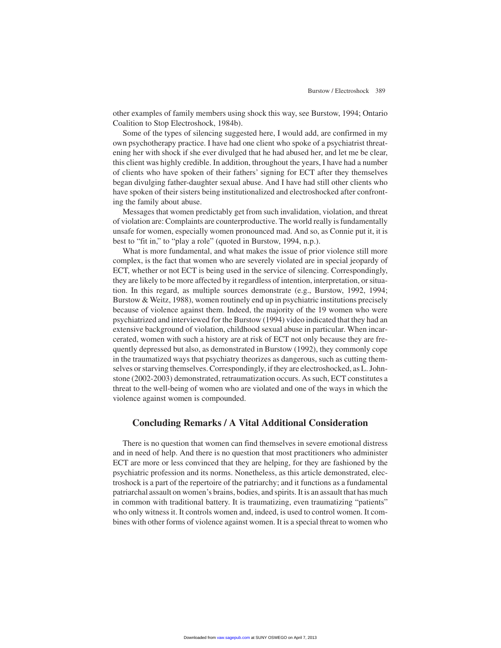other examples of family members using shock this way, see Burstow, 1994; Ontario Coalition to Stop Electroshock, 1984b).

Some of the types of silencing suggested here, I would add, are confirmed in my own psychotherapy practice. I have had one client who spoke of a psychiatrist threatening her with shock if she ever divulged that he had abused her, and let me be clear, this client was highly credible. In addition, throughout the years, I have had a number of clients who have spoken of their fathers' signing for ECT after they themselves began divulging father-daughter sexual abuse. And I have had still other clients who have spoken of their sisters being institutionalized and electroshocked after confronting the family about abuse.

Messages that women predictably get from such invalidation, violation, and threat of violation are: Complaints are counterproductive. The world really is fundamentally unsafe for women, especially women pronounced mad. And so, as Connie put it, it is best to "fit in," to "play a role" (quoted in Burstow, 1994, n.p.).

What is more fundamental, and what makes the issue of prior violence still more complex, is the fact that women who are severely violated are in special jeopardy of ECT, whether or not ECT is being used in the service of silencing. Correspondingly, they are likely to be more affected by it regardless of intention, interpretation, or situation. In this regard, as multiple sources demonstrate (e.g., Burstow, 1992, 1994; Burstow & Weitz, 1988), women routinely end up in psychiatric institutions precisely because of violence against them. Indeed, the majority of the 19 women who were psychiatrized and interviewed for the Burstow (1994) video indicated that they had an extensive background of violation, childhood sexual abuse in particular. When incarcerated, women with such a history are at risk of ECT not only because they are frequently depressed but also, as demonstrated in Burstow (1992), they commonly cope in the traumatized ways that psychiatry theorizes as dangerous, such as cutting themselves or starving themselves. Correspondingly, if they are electroshocked, as L. Johnstone (2002-2003) demonstrated, retraumatization occurs. As such, ECT constitutes a threat to the well-being of women who are violated and one of the ways in which the violence against women is compounded.

# **Concluding Remarks / A Vital Additional Consideration**

There is no question that women can find themselves in severe emotional distress and in need of help. And there is no question that most practitioners who administer ECT are more or less convinced that they are helping, for they are fashioned by the psychiatric profession and its norms. Nonetheless, as this article demonstrated, electroshock is a part of the repertoire of the patriarchy; and it functions as a fundamental patriarchal assault on women's brains, bodies, and spirits. It is an assault that has much in common with traditional battery. It is traumatizing, even traumatizing "patients" who only witness it. It controls women and, indeed, is used to control women. It combines with other forms of violence against women. It is a special threat to women who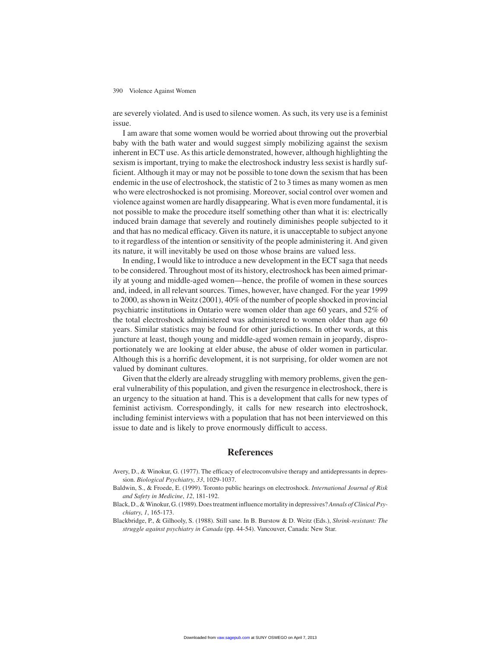are severely violated. And is used to silence women. As such, its very use is a feminist issue.

I am aware that some women would be worried about throwing out the proverbial baby with the bath water and would suggest simply mobilizing against the sexism inherent in ECT use. As this article demonstrated, however, although highlighting the sexism is important, trying to make the electroshock industry less sexist is hardly sufficient. Although it may or may not be possible to tone down the sexism that has been endemic in the use of electroshock, the statistic of 2 to 3 times as many women as men who were electroshocked is not promising. Moreover, social control over women and violence against women are hardly disappearing. What is even more fundamental, it is not possible to make the procedure itself something other than what it is: electrically induced brain damage that severely and routinely diminishes people subjected to it and that has no medical efficacy. Given its nature, it is unacceptable to subject anyone to it regardless of the intention or sensitivity of the people administering it. And given its nature, it will inevitably be used on those whose brains are valued less.

In ending, I would like to introduce a new development in the ECT saga that needs to be considered. Throughout most of its history, electroshock has been aimed primarily at young and middle-aged women—hence, the profile of women in these sources and, indeed, in all relevant sources. Times, however, have changed. For the year 1999 to 2000, as shown in Weitz (2001), 40% of the number of people shocked in provincial psychiatric institutions in Ontario were women older than age 60 years, and 52% of the total electroshock administered was administered to women older than age 60 years. Similar statistics may be found for other jurisdictions. In other words, at this juncture at least, though young and middle-aged women remain in jeopardy, disproportionately we are looking at elder abuse, the abuse of older women in particular. Although this is a horrific development, it is not surprising, for older women are not valued by dominant cultures.

Given that the elderly are already struggling with memory problems, given the general vulnerability of this population, and given the resurgence in electroshock, there is an urgency to the situation at hand. This is a development that calls for new types of feminist activism. Correspondingly, it calls for new research into electroshock, including feminist interviews with a population that has not been interviewed on this issue to date and is likely to prove enormously difficult to access.

# **References**

- Avery, D., & Winokur, G. (1977). The efficacy of electroconvulsive therapy and antidepressants in depression. *Biological Psychiatry*, *33*, 1029-1037.
- Baldwin, S., & Froede, E. (1999). Toronto public hearings on electroshock. *International Journal of Risk and Safety in Medicine*, *12*, 181-192.
- Black, D., & Winokur, G. (1989). Does treatment influence mortality in depressives? *Annals of Clinical Psychiatry*, *1*, 165-173.
- Blackbridge, P., & Gilhooly, S. (1988). Still sane. In B. Burstow & D. Weitz (Eds.), *Shrink-resistant: The struggle against psychiatry in Canada* (pp. 44-54). Vancouver, Canada: New Star.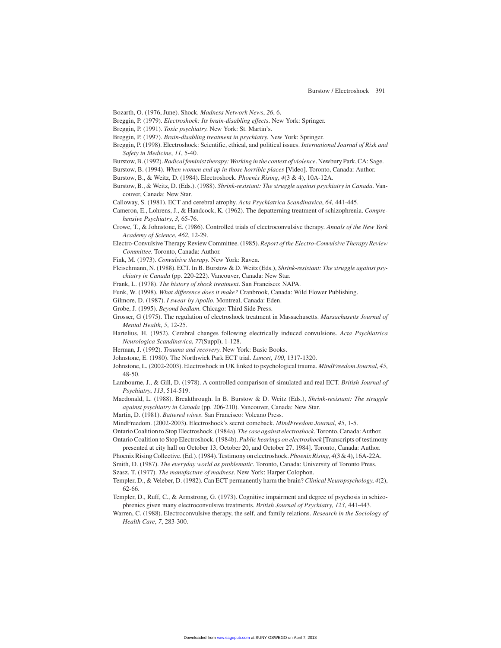Bozarth, O. (1976, June). Shock. *Madness Network News*, *26*, 6.

- Breggin, P. (1979). *Electroshock: Its brain-disabling effects*. New York: Springer.
- Breggin, P. (1991). *Toxic psychiatry*. New York: St. Martin's.
- Breggin, P. (1997). *Brain-disabling treatment in psychiatry*. New York: Springer.
- Breggin, P. (1998). Electroshock: Scientific, ethical, and political issues. *International Journal of Risk and Safety in Medicine*, *11*, 5-40.
- Burstow, B. (1992).*Radical feminist therapy: Working in the context of violence*. Newbury Park, CA: Sage.
- Burstow, B. (1994). *When women end up in those horrible places* [Video]. Toronto, Canada: Author.
- Burstow, B., & Weitz, D. (1984). Electroshock. *Phoenix Rising*, *4*(3 & 4), 10A-12A.
- Burstow, B., & Weitz, D. (Eds.). (1988). *Shrink-resistant: The struggle against psychiatry in Canada*. Vancouver, Canada: New Star.
- Calloway, S. (1981). ECT and cerebral atrophy. *Acta Psychiatrica Scandinavica*, *64*, 441-445.
- Cameron, E., Lohrens, J., & Handcock, K. (1962). The depatterning treatment of schizophrenia. *Comprehensive Psychiatry*, *3*, 65-76.
- Crowe, T., & Johnstone, E. (1986). Controlled trials of electroconvulsive therapy. *Annals of the New York Academy of Science*, *462*, 12-29.
- Electro-Convulsive Therapy Review Committee. (1985). *Report of the Electro-Convulsive Therapy Review Committee*. Toronto, Canada: Author.
- Fink, M. (1973). *Convulsive therapy*. New York: Raven.
- Fleischmann, N. (1988). ECT. In B. Burstow & D. Weitz (Eds.), *Shrink-resistant: The struggle against psychiatry in Canada* (pp. 220-222). Vancouver, Canada: New Star.

Frank, L. (1978). *The history of shock treatment*. San Francisco: NAPA.

Funk, W. (1998). *What difference does it make?* Cranbrook, Canada: Wild Flower Publishing.

Gilmore, D. (1987). *I swear by Apollo*. Montreal, Canada: Eden.

- Grobe, J. (1995). *Beyond bedlam*. Chicago: Third Side Press.
- Grosser, G (1975). The regulation of electroshock treatment in Massachusetts. *Massachusetts Journal of Mental Health*, *5*, 12-25.
- Hartelius, H. (1952). Cerebral changes following electrically induced convulsions. *Acta Psychiatrica Neurologica Scandinavica*, *77*(Suppl), 1-128.
- Herman, J. (1992). *Trauma and recovery*. New York: Basic Books.
- Johnstone, E. (1980). The Northwick Park ECT trial. *Lancet*, *100*, 1317-1320.
- Johnstone, L. (2002-2003). Electroshock in UK linked to psychological trauma. *MindFreedom Journal*, *45*, 48-50.
- Lambourne, J., & Gill, D. (1978). A controlled comparison of simulated and real ECT. *British Journal of Psychiatry*, *113*, 514-519.
- Macdonald, L. (1988). Breakthrough. In B. Burstow & D. Weitz (Eds.), *Shrink-resistant: The struggle against psychiatry in Canada* (pp. 206-210). Vancouver, Canada: New Star.
- Martin, D. (1981). *Battered wives*. San Francisco: Volcano Press.

MindFreedom. (2002-2003). Electroshock's secret comeback. *MindFreedom Journal*, *45*, 1-5.

- Ontario Coalition to Stop Electroshock. (1984a).*The case against electroshock*. Toronto, Canada: Author.
- Ontario Coalition to Stop Electroshock. (1984b). *Public hearings on electroshock* [Transcripts of testimony presented at city hall on October 13, October 20, and October 27, 1984]. Toronto, Canada: Author.
- Phoenix Rising Collective. (Ed.). (1984). Testimony on electroshock.*Phoenix Rising*, *4*(3 & 4), 16A-22A. Smith, D. (1987). *The everyday world as problematic*. Toronto, Canada: University of Toronto Press.
- Szasz, T. (1977). *The manufacture of madness*. New York: Harper Colophon.
- Templer, D., & Veleber, D. (1982). Can ECT permanently harm the brain? *Clinical Neuropsychology*, *4*(2), 62-66.
- Templer, D., Ruff, C., & Armstrong, G. (1973). Cognitive impairment and degree of psychosis in schizophrenics given many electroconvulsive treatments. *British Journal of Psychiatry*, *123*, 441-443.
- Warren, C. (1988). Electroconvulsive therapy, the self, and family relations. *Research in the Sociology of Health Care*, *7*, 283-300.